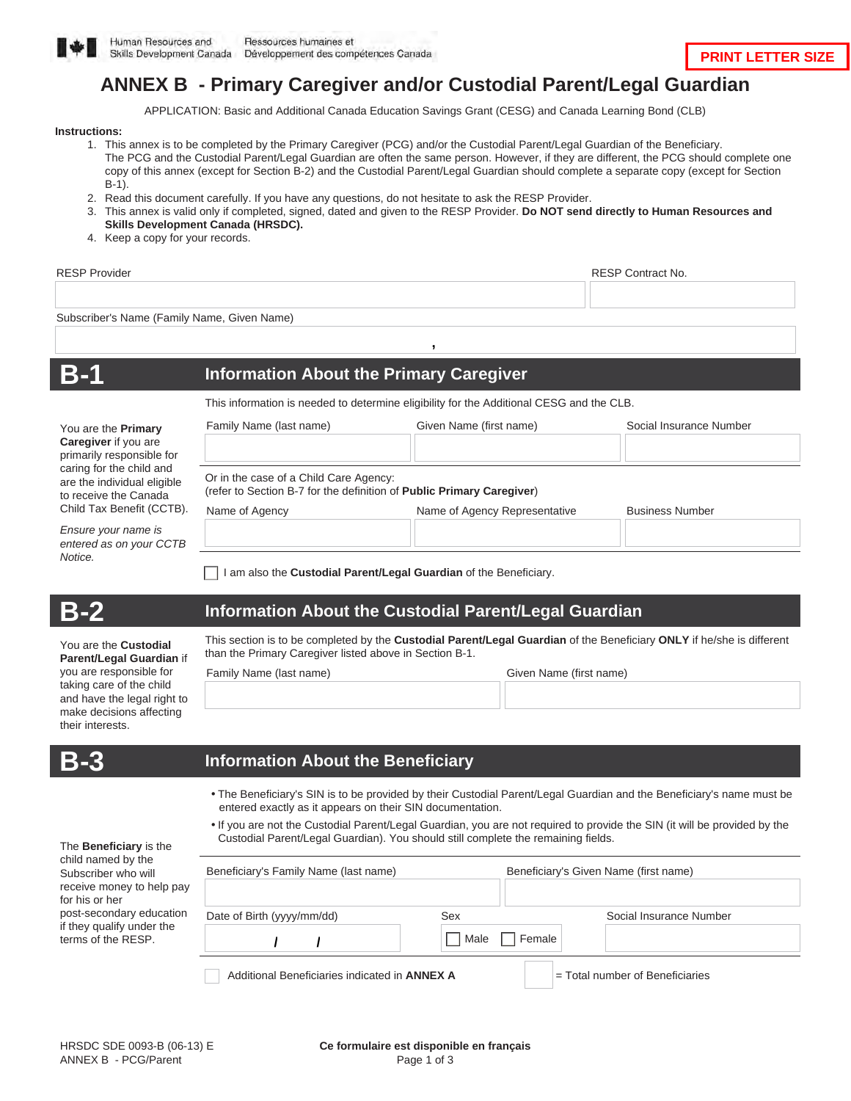

# **ANNEX B - Primary Caregiver and/or Custodial Parent/Legal Guardian**

APPLICATION: Basic and Additional Canada Education Savings Grant (CESG) and Canada Learning Bond (CLB)

#### **Instructions:**

- 1. This annex is to be completed by the Primary Caregiver (PCG) and/or the Custodial Parent/Legal Guardian of the Beneficiary. The PCG and the Custodial Parent/Legal Guardian are often the same person. However, if they are different, the PCG should complete one copy of this annex (except for Section B-2) and the Custodial Parent/Legal Guardian should complete a separate copy (except for Section B-1).
- 2. Read this document carefully. If you have any questions, do not hesitate to ask the RESP Provider.
- 3. This annex is valid only if completed, signed, dated and given to the RESP Provider. **Do NOT send directly to Human Resources and Skills Development Canada (HRSDC).**
- 4. Keep a copy for your records.

| <b>RESP Provider</b>                                                                                                                                                |                                                                                                                 |                                         | <b>RESP Contract No.</b> |
|---------------------------------------------------------------------------------------------------------------------------------------------------------------------|-----------------------------------------------------------------------------------------------------------------|-----------------------------------------|--------------------------|
| Subscriber's Name (Family Name, Given Name)                                                                                                                         |                                                                                                                 |                                         |                          |
| B-1                                                                                                                                                                 | <b>Information About the Primary Caregiver</b>                                                                  |                                         |                          |
|                                                                                                                                                                     | This information is needed to determine eligibility for the Additional CESG and the CLB.                        |                                         |                          |
| You are the <b>Primary</b><br>Caregiver if you are<br>primarily responsible for<br>caring for the child and<br>are the individual eligible<br>to receive the Canada | Family Name (last name)                                                                                         | Given Name (first name)                 | Social Insurance Number  |
|                                                                                                                                                                     |                                                                                                                 |                                         |                          |
|                                                                                                                                                                     | Or in the case of a Child Care Agency:<br>(refer to Section B-7 for the definition of Public Primary Caregiver) |                                         |                          |
| Child Tax Benefit (CCTB).                                                                                                                                           | Name of Agency                                                                                                  | Name of Agency Representative           | <b>Business Number</b>   |
| Ensure your name is<br>entered as on your CCTB<br>Notice.                                                                                                           |                                                                                                                 |                                         |                          |
|                                                                                                                                                                     |                                                                                                                 | $\Box$ i is a chine shi ne hi chine chi |                          |

I am also the **Custodial Parent/Legal Guardian** of the Beneficiary.

You are the **Custodial Parent/Legal Guardian** if you are responsible for taking care of the child and have the legal right to make decisions affecting

### **B-2 Information About the Custodial Parent/Legal Guardian**

This section is to be completed by the **Custodial Parent/Legal Guardian** of the Beneficiary **ONLY** if he/she is different than the Primary Caregiver listed above in Section B-1.

Family Name (last name) Given Name (first name)

| Given Name (first name |  |
|------------------------|--|

| and the control of the<br>_____<br><b>Service Service</b><br>۰. |             |
|-----------------------------------------------------------------|-------------|
| ____<br>___                                                     | -<br>$\sim$ |

their interests.

#### **B-3 Information About the Beneficiary**

- The Beneficiary's SIN is to be provided by their Custodial Parent/Legal Guardian and the Beneficiary's name must be entered exactly as it appears on their SIN documentation.
- If you are not the Custodial Parent/Legal Guardian, you are not required to provide the SIN (it will be provided by the Custodial Parent/Legal Guardian). You should still complete the remaining fields.

| Beneficiary's Family Name (last name) |                | Beneficiary's Given Name (first name) |
|---------------------------------------|----------------|---------------------------------------|
| Date of Birth (yyyy/mm/dd)            | Sex            | Social Insurance Number               |
|                                       | Male<br>Female |                                       |

| child named by the        |
|---------------------------|
| Subscriber who will       |
| receive money to help pay |
| for his or her            |
| post-secondary education  |
| if they qualify under the |
| terms of the RESP.        |
|                           |

The **Beneficiary** is the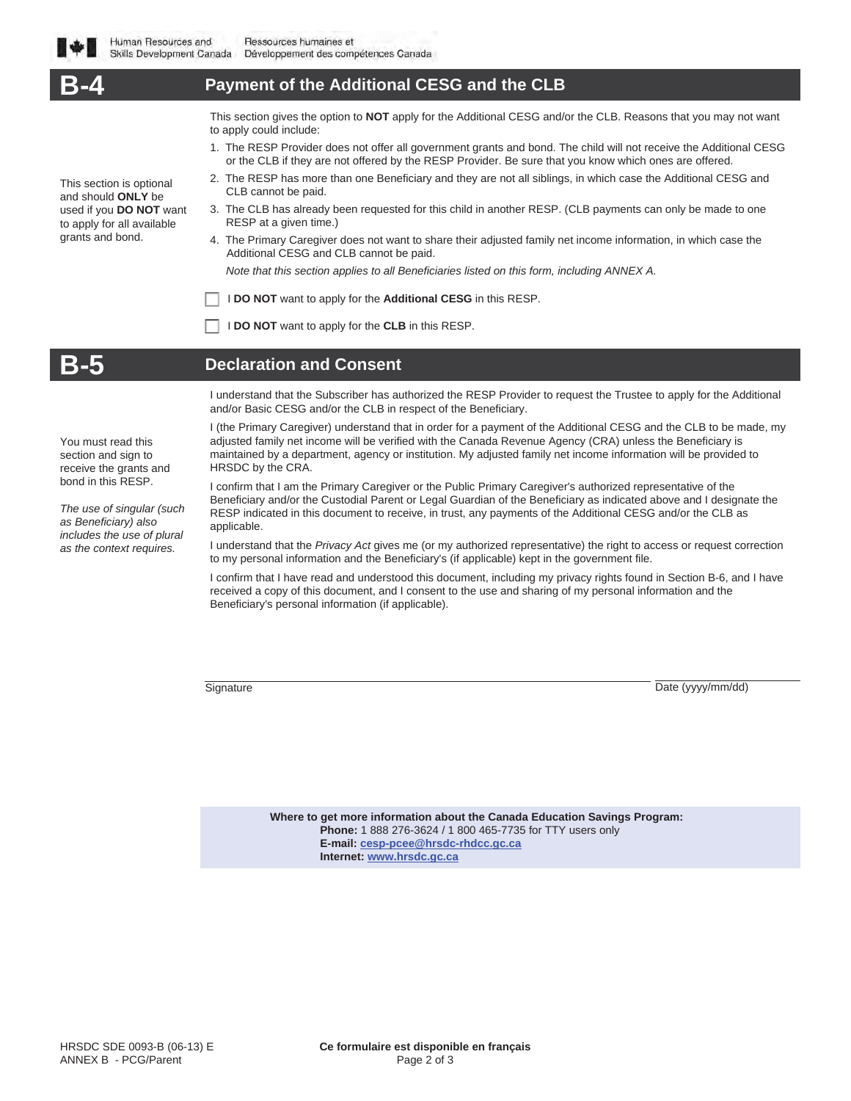**Payment of the Additional CESG and the CLB** This section is optional and should **ONLY** be used if you **DO NOT** want to apply for all available grants and bond. This section gives the option to **NOT** apply for the Additional CESG and/or the CLB. Reasons that you may not want to apply could include: 1. The RESP Provider does not offer all government grants and bond. The child will not receive the Additional CESG or the CLB if they are not offered by the RESP Provider. Be sure that you know which ones are offered. 2. The RESP has more than one Beneficiary and they are not all siblings, in which case the Additional CESG and CLB cannot be paid. 3. The CLB has already been requested for this child in another RESP. (CLB payments can only be made to one RESP at a given time.) 4. The Primary Caregiver does not want to share their adjusted family net income information, in which case the Additional CESG and CLB cannot be paid. *Note that this section applies to all Beneficiaries listed on this form, including ANNEX A.* I **DO NOT** want to apply for the **Additional CESG** in this RESP. I **DO NOT** want to apply for the **CLB** in this RESP. **Declaration and Consent** I understand that the Subscriber has authorized the RESP Provider to request the Trustee to apply for the Additional and/or Basic CESG and/or the CLB in respect of the Beneficiary.

> I (the Primary Caregiver) understand that in order for a payment of the Additional CESG and the CLB to be made, my adjusted family net income will be verified with the Canada Revenue Agency (CRA) unless the Beneficiary is maintained by a department, agency or institution. My adjusted family net income information will be provided to HRSDC by the CRA.

I confirm that I am the Primary Caregiver or the Public Primary Caregiver's authorized representative of the Beneficiary and/or the Custodial Parent or Legal Guardian of the Beneficiary as indicated above and I designate the RESP indicated in this document to receive, in trust, any payments of the Additional CESG and/or the CLB as applicable.

I understand that the *Privacy Act* gives me (or my authorized representative) the right to access or request correction to my personal information and the Beneficiary's (if applicable) kept in the government file.

I confirm that I have read and understood this document, including my privacy rights found in Section B-6, and I have received a copy of this document, and I consent to the use and sharing of my personal information and the Beneficiary's personal information (if applicable).

Signature Date (yyyy/mm/dd)

**Where to get more information about the Canada Education Savings Program: Phone:** 1 888 276-3624 / 1 800 465-7735 for TTY users only **E-mail: cesp-pcee@hrsdc-rhdcc.gc.ca Internet: www.hrsdc.gc.ca**

You must read this section and sign to receive the grants and bond in this RESP.

*The use of singular (such as Beneficiary) also includes the use of plural as the context requires.*